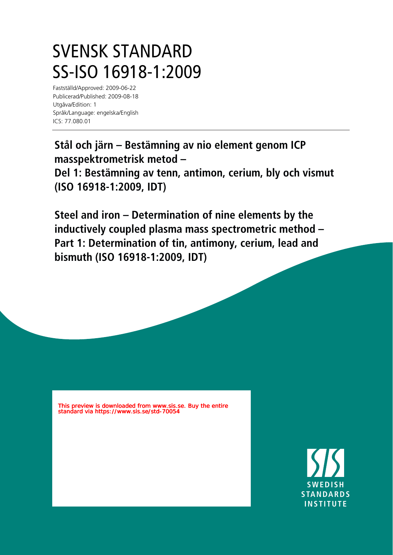# SVENSK STANDARD SS-ISO 16918-1:2009

Fastställd/Approved: 2009-06-22 Publicerad/Published: 2009-08-18 Utgåva/Edition: 1 Språk/Language: engelska/English ICS: 77.080.01

**Stål och järn – Bestämning av nio element genom ICP masspektrometrisk metod –**

**Del 1: Bestämning av tenn, antimon, cerium, bly och vismut (ISO 16918-1:2009, IDT)**

**Steel and iron – Determination of nine elements by the inductively coupled plasma mass spectrometric method – Part 1: Determination of tin, antimony, cerium, lead and bismuth (ISO 16918-1:2009, IDT)**

This preview is downloaded from www.sis.se. Buy the entire standard via https://www.sis.se/std-70054

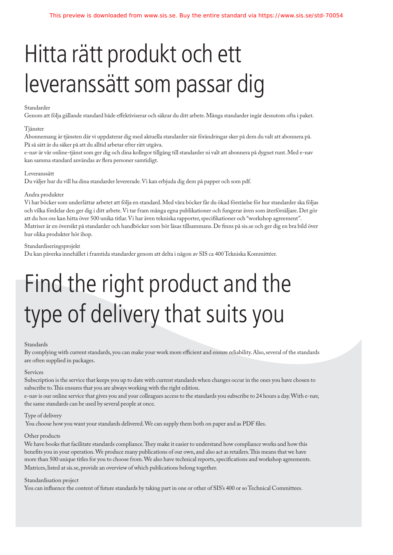# Hitta rätt produkt och ett leveranssätt som passar dig

#### Standarder

Genom att följa gällande standard både effektiviserar och säkrar du ditt arbete. Många standarder ingår dessutom ofta i paket.

#### Tjänster

Abonnemang är tjänsten där vi uppdaterar dig med aktuella standarder när förändringar sker på dem du valt att abonnera på. På så sätt är du säker på att du alltid arbetar efter rätt utgåva.

e-nav är vår online-tjänst som ger dig och dina kollegor tillgång till standarder ni valt att abonnera på dygnet runt. Med e-nav kan samma standard användas av flera personer samtidigt.

#### Leveranssätt

Du väljer hur du vill ha dina standarder levererade. Vi kan erbjuda dig dem på papper och som pdf.

#### Andra produkter

Vi har böcker som underlättar arbetet att följa en standard. Med våra böcker får du ökad förståelse för hur standarder ska följas och vilka fördelar den ger dig i ditt arbete. Vi tar fram många egna publikationer och fungerar även som återförsäljare. Det gör att du hos oss kan hitta över 500 unika titlar. Vi har även tekniska rapporter, specikationer och "workshop agreement". Matriser är en översikt på standarder och handböcker som bör läsas tillsammans. De finns på sis.se och ger dig en bra bild över hur olika produkter hör ihop.

#### Standardiseringsprojekt

Du kan påverka innehållet i framtida standarder genom att delta i någon av SIS ca 400 Tekniska Kommittéer.

# Find the right product and the type of delivery that suits you

#### Standards

By complying with current standards, you can make your work more efficient and ensure reliability. Also, several of the standards are often supplied in packages.

#### Services

Subscription is the service that keeps you up to date with current standards when changes occur in the ones you have chosen to subscribe to. This ensures that you are always working with the right edition.

e-nav is our online service that gives you and your colleagues access to the standards you subscribe to 24 hours a day. With e-nav, the same standards can be used by several people at once.

#### Type of delivery

You choose how you want your standards delivered. We can supply them both on paper and as PDF files.

#### Other products

We have books that facilitate standards compliance. They make it easier to understand how compliance works and how this benefits you in your operation. We produce many publications of our own, and also act as retailers. This means that we have more than 500 unique titles for you to choose from. We also have technical reports, specifications and workshop agreements. Matrices, listed at sis.se, provide an overview of which publications belong together.

#### Standardisation project

You can influence the content of future standards by taking part in one or other of SIS's 400 or so Technical Committees.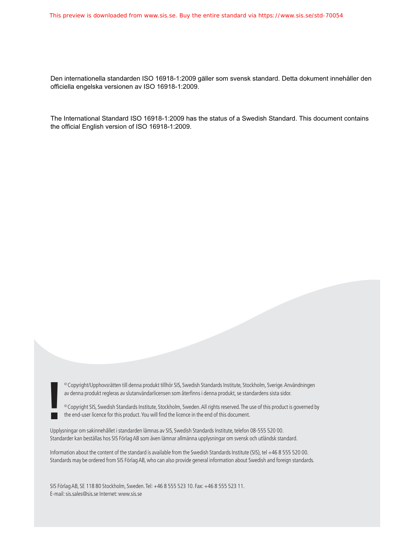Den internationella standarden ISO 16918-1:2009 gäller som svensk standard. Detta dokument innehåller den officiella engelska versionen av ISO 16918-1:2009.

The International Standard ISO 16918-1:2009 has the status of a Swedish Standard. This document contains the official English version of ISO 16918-1:2009.

© Copyright/Upphovsrätten till denna produkt tillhör SIS, Swedish Standards Institute, Stockholm, Sverige. Användningen av denna produkt regleras av slutanvändarlicensen som återfinns i denna produkt, se standardens sista sidor.

© Copyright/Upphovsrätten till denna produkt tillhör SIS, Swedish Standards Institute, Stockholm, Sverige. Användningen<br>av denna produkt regleras av slutanvändarlicensen som återfinns i denna produkt, se standardens sista

Upplysningar om sakinnehållet i standarden lämnas av SIS, Swedish Standards Institute, telefon 08-555 520 00. Standarder kan beställas hos SIS Förlag AB som även lämnar allmänna upplysningar om svensk och utländsk standard.

Information about the content of the standard is available from the Swedish Standards Institute (SIS), tel +46 8 555 520 00. Standards may be ordered from SIS Förlag AB, who can also provide general information about Swedish and foreign standards.

SIS Förlag AB, SE 118 80 Stockholm, Sweden. Tel: +46 8 555 523 10. Fax: +46 8 555 523 11. E-mail: sis.sales@sis.se Internet: www.sis.se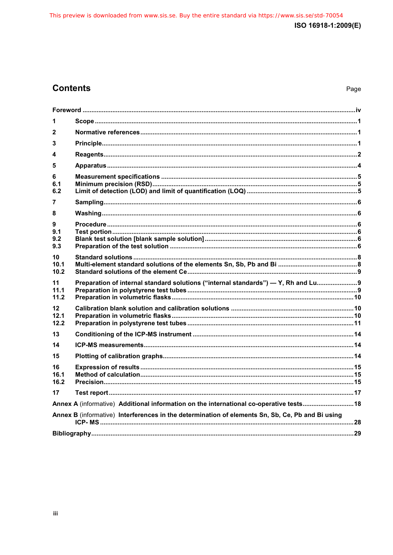## **Contents**

| 1                                                                                                |                                                                                    |  |
|--------------------------------------------------------------------------------------------------|------------------------------------------------------------------------------------|--|
| $\mathbf{2}$                                                                                     |                                                                                    |  |
| 3                                                                                                |                                                                                    |  |
| 4                                                                                                |                                                                                    |  |
| 5                                                                                                |                                                                                    |  |
| 6<br>6.1<br>6.2                                                                                  |                                                                                    |  |
| 7                                                                                                |                                                                                    |  |
| 8                                                                                                |                                                                                    |  |
| 9<br>9.1<br>9.2<br>9.3                                                                           |                                                                                    |  |
| 10<br>10.1<br>10.2                                                                               |                                                                                    |  |
| 11<br>11.1<br>11.2                                                                               | Preparation of internal standard solutions ("internal standards") - Y, Rh and Lu 9 |  |
| 12 <sup>2</sup><br>$12.1$<br>12.2                                                                |                                                                                    |  |
| 13                                                                                               |                                                                                    |  |
| 14                                                                                               |                                                                                    |  |
| 15                                                                                               |                                                                                    |  |
| 16<br>16.1<br>16.2                                                                               |                                                                                    |  |
| 17                                                                                               |                                                                                    |  |
| Annex A (informative) Additional information on the international co-operative tests 18          |                                                                                    |  |
| Annex B (informative) Interferences in the determination of elements Sn, Sb, Ce, Pb and Bi using |                                                                                    |  |
|                                                                                                  |                                                                                    |  |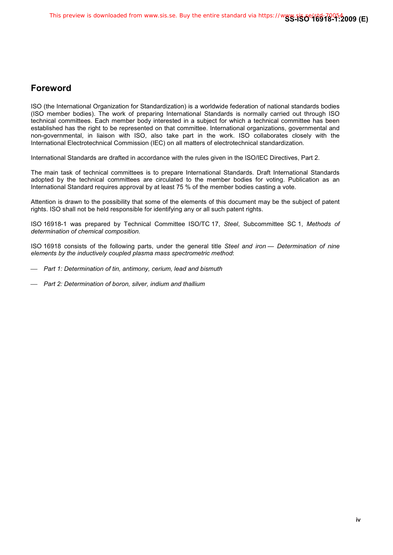### **Foreword**

ISO (the International Organization for Standardization) is a worldwide federation of national standards bodies (ISO member bodies). The work of preparing International Standards is normally carried out through ISO technical committees. Each member body interested in a subject for which a technical committee has been established has the right to be represented on that committee. International organizations, governmental and non-governmental, in liaison with ISO, also take part in the work. ISO collaborates closely with the International Electrotechnical Commission (IEC) on all matters of electrotechnical standardization.

International Standards are drafted in accordance with the rules given in the ISO/IEC Directives, Part 2.

The main task of technical committees is to prepare International Standards. Draft International Standards adopted by the technical committees are circulated to the member bodies for voting. Publication as an International Standard requires approval by at least 75 % of the member bodies casting a vote.

Attention is drawn to the possibility that some of the elements of this document may be the subject of patent rights. ISO shall not be held responsible for identifying any or all such patent rights.

ISO 16918-1 was prepared by Technical Committee ISO/TC 17, *Steel*, Subcommittee SC 1, *Methods of determination of chemical composition*.

ISO 16918 consists of the following parts, under the general title *Steel and iron — Determination of nine elements by the inductively coupled plasma mass spectrometric method*:

- *Part 1: Determination of tin, antimony, cerium, lead and bismuth*
- *Part 2: Determination of boron, silver, indium and thallium*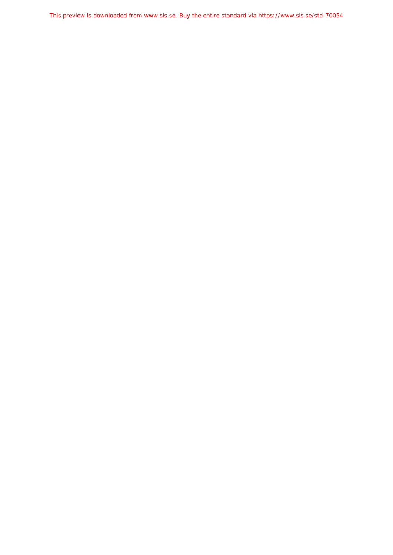This preview is downloaded from www.sis.se. Buy the entire standard via https://www.sis.se/std-70054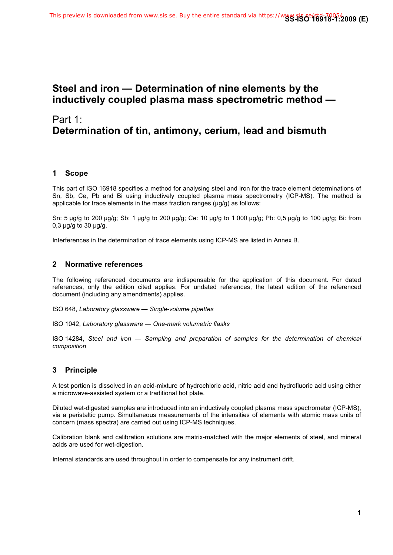# **Steel and iron — Determination of nine elements by the inductively coupled plasma mass spectrometric method —**

# Part 1: **Determination of tin, antimony, cerium, lead and bismuth**

#### **1 Scope**

This part of ISO 16918 specifies a method for analysing steel and iron for the trace element determinations of Sn, Sb, Ce, Pb and Bi using inductively coupled plasma mass spectrometry (ICP-MS). The method is applicable for trace elements in the mass fraction ranges (μg/g) as follows:

Sn: 5 μg/g to 200 μg/g; Sb: 1 μg/g to 200 μg/g; Ce: 10 μg/g to 1 000 μg/g; Pb: 0,5 μg/g to 100 μg/g; Bi: from 0,3 μg/g to 30 μg/g.

Interferences in the determination of trace elements using ICP-MS are listed in Annex B.

#### **2 Normative references**

The following referenced documents are indispensable for the application of this document. For dated references, only the edition cited applies. For undated references, the latest edition of the referenced document (including any amendments) applies.

ISO 648, *Laboratory glassware — Single-volume pipettes*

ISO 1042, *Laboratory glassware — One-mark volumetric flasks*

ISO 14284, *Steel and iron — Sampling and preparation of samples for the determination of chemical composition*

### **3 Principle**

A test portion is dissolved in an acid-mixture of hydrochloric acid, nitric acid and hydrofluoric acid using either a microwave-assisted system or a traditional hot plate.

Diluted wet-digested samples are introduced into an inductively coupled plasma mass spectrometer (ICP-MS), via a peristaltic pump. Simultaneous measurements of the intensities of elements with atomic mass units of concern (mass spectra) are carried out using ICP-MS techniques.

Calibration blank and calibration solutions are matrix-matched with the major elements of steel, and mineral acids are used for wet-digestion.

Internal standards are used throughout in order to compensate for any instrument drift.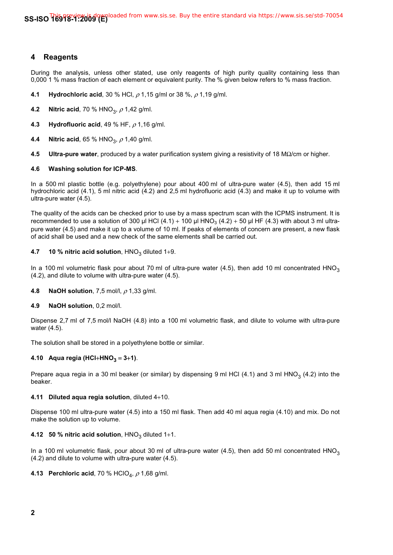#### **4 Reagents**

**ISO 16918-1:2009(E)** 

During the analysis, unless other stated, use only reagents of high purity quality containing less than 0,000 1 % mass fraction of each element or equivalent purity. The % given below refers to % mass fraction.

- **4.1 Hydrochloric acid**, 30 % HCl,  $\rho$  1, 15 g/ml or 38 %,  $\rho$  1, 19 g/ml.
- **4.2 Nitric acid, 70 % HNO<sub>3</sub>,**  $\rho$  **1,42 g/ml.**
- **4.3 Hydrofluoric acid, 49 % HF,**  $\rho$  **1,16 g/ml.**
- **4.4 Nitric acid, 65 % HNO<sub>3</sub>,**  $\rho$  **1,40 g/ml.**
- **4.5 Ultra-pure water**, produced by a water purification system giving a resistivity of 18 M $\Omega$ /cm or higher.

#### **4.6 Washing solution for ICP-MS**.

In a 500 ml plastic bottle (e.g. polyethylene) pour about 400 ml of ultra-pure water (4.5), then add 15 ml hydrochloric acid (4.1), 5 ml nitric acid (4.2) and 2,5 ml hydrofluoric acid (4.3) and make it up to volume with ultra-pure water (4.5).

The quality of the acids can be checked prior to use by a mass spectrum scan with the ICPMS instrument. It is recommended to use a solution of 300 μl HCl (4.1) + 100 μl HNO<sub>3</sub> (4.2) + 50 μl HF (4.3) with about 3 ml ultrapure water (4.5) and make it up to a volume of 10 ml. If peaks of elements of concern are present, a new flask of acid shall be used and a new check of the same elements shall be carried out.

#### **4.7 10 % nitric acid solution**,  $HNO<sub>3</sub>$  diluted 1+9.

In a 100 ml volumetric flask pour about 70 ml of ultra-pure water (4.5), then add 10 ml concentrated  $HNO<sub>3</sub>$ (4.2), and dilute to volume with ultra-pure water (4.5).

**4.8 NaOH solution**, 7,5 mol/l,  $\rho$  1,33 g/ml.

#### **4.9 NaOH solution**, 0,2 mol/l.

Dispense 2,7 ml of 7,5 mol/l NaOH (4.8) into a 100 ml volumetric flask, and dilute to volume with ultra-pure water (4.5).

The solution shall be stored in a polyethylene bottle or similar.

#### **4.10 Aqua regia (HCl+HNO<sub>3</sub> = 3+1).**

Prepare aqua regia in a 30 ml beaker (or similar) by dispensing 9 ml HCl (4.1) and 3 ml HNO<sub>3</sub> (4.2) into the beaker.

#### **4.11 Diluted aqua regia solution**, diluted 4+10.

Dispense 100 ml ultra-pure water (4.5) into a 150 ml flask. Then add 40 ml aqua regia (4.10) and mix. Do not make the solution up to volume.

#### **4.12 50 % nitric acid solution,**  $HNO<sub>3</sub>$  **diluted 1+1.**

In a 100 ml volumetric flask, pour about 30 ml of ultra-pure water (4.5), then add 50 ml concentrated  $HNO<sub>3</sub>$ (4.2) and dilute to volume with ultra-pure water (4.5).

**4.13 Perchloric acid, 70 % HClO<sub>4</sub>,**  $\rho$  **1,68 g/ml.**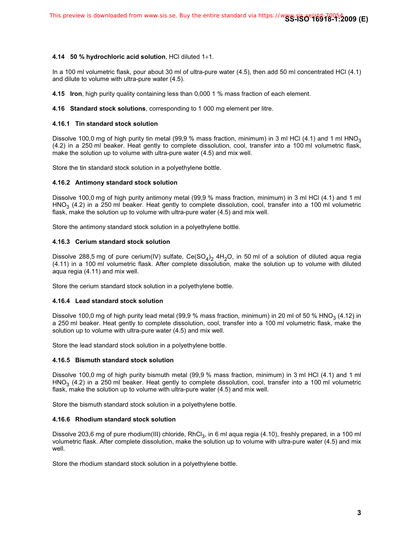**ISO 16918-1:2009(E)** 

#### **4.14 50 % hydrochloric acid solution**, HCl diluted 1+1.

In a 100 ml volumetric flask, pour about 30 ml of ultra-pure water (4.5), then add 50 ml concentrated HCl (4.1) and dilute to volume with ultra-pure water (4.5).

**4.15 Iron**, high purity quality containing less than 0,000 1 % mass fraction of each element.

**4.16 Standard stock solutions**, corresponding to 1 000 mg element per litre.

#### **4.16.1 Tin standard stock solution**

Dissolve 100,0 mg of high purity tin metal (99,9 % mass fraction, minimum) in 3 ml HCl (4.1) and 1 ml HNO<sub>3</sub> (4.2) in a 250 ml beaker. Heat gently to complete dissolution, cool, transfer into a 100 ml volumetric flask, make the solution up to volume with ultra-pure water (4.5) and mix well.

Store the tin standard stock solution in a polyethylene bottle.

#### **4.16.2 Antimony standard stock solution**

Dissolve 100,0 mg of high purity antimony metal (99,9 % mass fraction, minimum) in 3 ml HCl (4.1) and 1 ml  $HNO<sub>3</sub>$  (4.2) in a 250 ml beaker. Heat gently to complete dissolution, cool, transfer into a 100 ml volumetric flask, make the solution up to volume with ultra-pure water (4.5) and mix well.

Store the antimony standard stock solution in a polyethylene bottle.

#### **4.16.3 Cerium standard stock solution**

Dissolve 288,5 mg of pure cerium(IV) sulfate, Ce(SO<sub>4</sub>)<sub>2</sub> 4H<sub>2</sub>O, in 50 ml of a solution of diluted aqua regia (4.11) in a 100 ml volumetric flask. After complete dissolution, make the solution up to volume with diluted aqua regia (4.11) and mix well.

Store the cerium standard stock solution in a polyethylene bottle.

#### **4.16.4 Lead standard stock solution**

Dissolve 100,0 mg of high purity lead metal (99,9 % mass fraction, minimum) in 20 ml of 50 % HNO<sub>3</sub> (4.12) in a 250 ml beaker. Heat gently to complete dissolution, cool, transfer into a 100 ml volumetric flask, make the solution up to volume with ultra-pure water (4.5) and mix well.

Store the lead standard stock solution in a polyethylene bottle.

#### **4.16.5 Bismuth standard stock solution**

Dissolve 100,0 mg of high purity bismuth metal (99,9 % mass fraction, minimum) in 3 ml HCl (4.1) and 1 ml  $HNO<sub>3</sub>$  (4.2) in a 250 ml beaker. Heat gently to complete dissolution, cool, transfer into a 100 ml volumetric flask, make the solution up to volume with ultra-pure water (4.5) and mix well.

Store the bismuth standard stock solution in a polyethylene bottle.

#### **4.16.6 Rhodium standard stock solution**

Dissolve 203,6 mg of pure rhodium(III) chloride, RhCl<sub>3</sub>, in 6 ml aqua regia (4.10), freshly prepared, in a 100 ml volumetric flask. After complete dissolution, make the solution up to volume with ultra-pure water (4.5) and mix well.

Store the rhodium standard stock solution in a polyethylene bottle.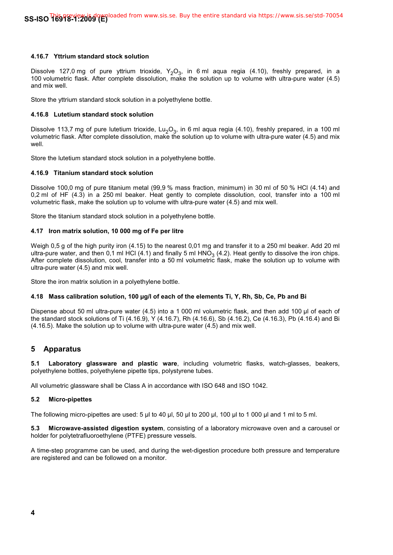#### **4.16.7 Yttrium standard stock solution**

**ISO 16918-1:2009(E)** 

Dissolve 127,0 mg of pure yttrium trioxide,  $Y_2O_3$ , in 6 ml aqua regia (4.10), freshly prepared, in a 100 volumetric flask. After complete dissolution, make the solution up to volume with ultra-pure water (4.5) and mix well.

Store the yttrium standard stock solution in a polyethylene bottle.

#### **4.16.8 Lutetium standard stock solution**

Dissolve 113,7 mg of pure lutetium trioxide, Lu<sub>2</sub>O<sub>3</sub>, in 6 ml aqua regia (4.10), freshly prepared, in a 100 ml volumetric flask. After complete dissolution, make the solution up to volume with ultra-pure water (4.5) and mix well.

Store the lutetium standard stock solution in a polyethylene bottle.

#### **4.16.9 Titanium standard stock solution**

Dissolve 100,0 mg of pure titanium metal (99,9 % mass fraction, minimum) in 30 ml of 50 % HCl (4.14) and 0,2 ml of HF (4.3) in a 250 ml beaker. Heat gently to complete dissolution, cool, transfer into a 100 ml volumetric flask, make the solution up to volume with ultra-pure water (4.5) and mix well.

Store the titanium standard stock solution in a polyethylene bottle.

#### **4.17 Iron matrix solution, 10 000 mg of Fe per litre**

Weigh 0,5 g of the high purity iron (4.15) to the nearest 0,01 mg and transfer it to a 250 ml beaker. Add 20 ml ultra-pure water, and then 0,1 ml HCl (4.1) and finally 5 ml  $HNO<sub>3</sub>$  (4.2). Heat gently to dissolve the iron chips. After complete dissolution, cool, transfer into a 50 ml volumetric flask, make the solution up to volume with ultra-pure water (4.5) and mix well.

Store the iron matrix solution in a polyethylene bottle.

#### **4.18 Mass calibration solution, 100 μg/l of each of the elements Ti, Y, Rh, Sb, Ce, Pb and Bi**

Dispense about 50 ml ultra-pure water (4.5) into a 1 000 ml volumetric flask, and then add 100 μl of each of the standard stock solutions of Ti (4.16.9), Y (4.16.7), Rh (4.16.6), Sb (4.16.2), Ce (4.16.3), Pb (4.16.4) and Bi (4.16.5). Make the solution up to volume with ultra-pure water (4.5) and mix well.

#### **5 Apparatus**

**5.1 Laboratory glassware and plastic ware**, including volumetric flasks, watch-glasses, beakers, polyethylene bottles, polyethylene pipette tips, polystyrene tubes.

All volumetric glassware shall be Class A in accordance with ISO 648 and ISO 1042.

#### **5.2 Micro-pipettes**

The following micro-pipettes are used: 5 μl to 40 μl, 50 μl to 200 μl, 100 μl to 1 000 μl and 1 ml to 5 ml.

**5.3 Microwave-assisted digestion system**, consisting of a laboratory microwave oven and a carousel or holder for polytetrafluoroethylene (PTFE) pressure vessels.

A time-step programme can be used, and during the wet-digestion procedure both pressure and temperature are registered and can be followed on a monitor.